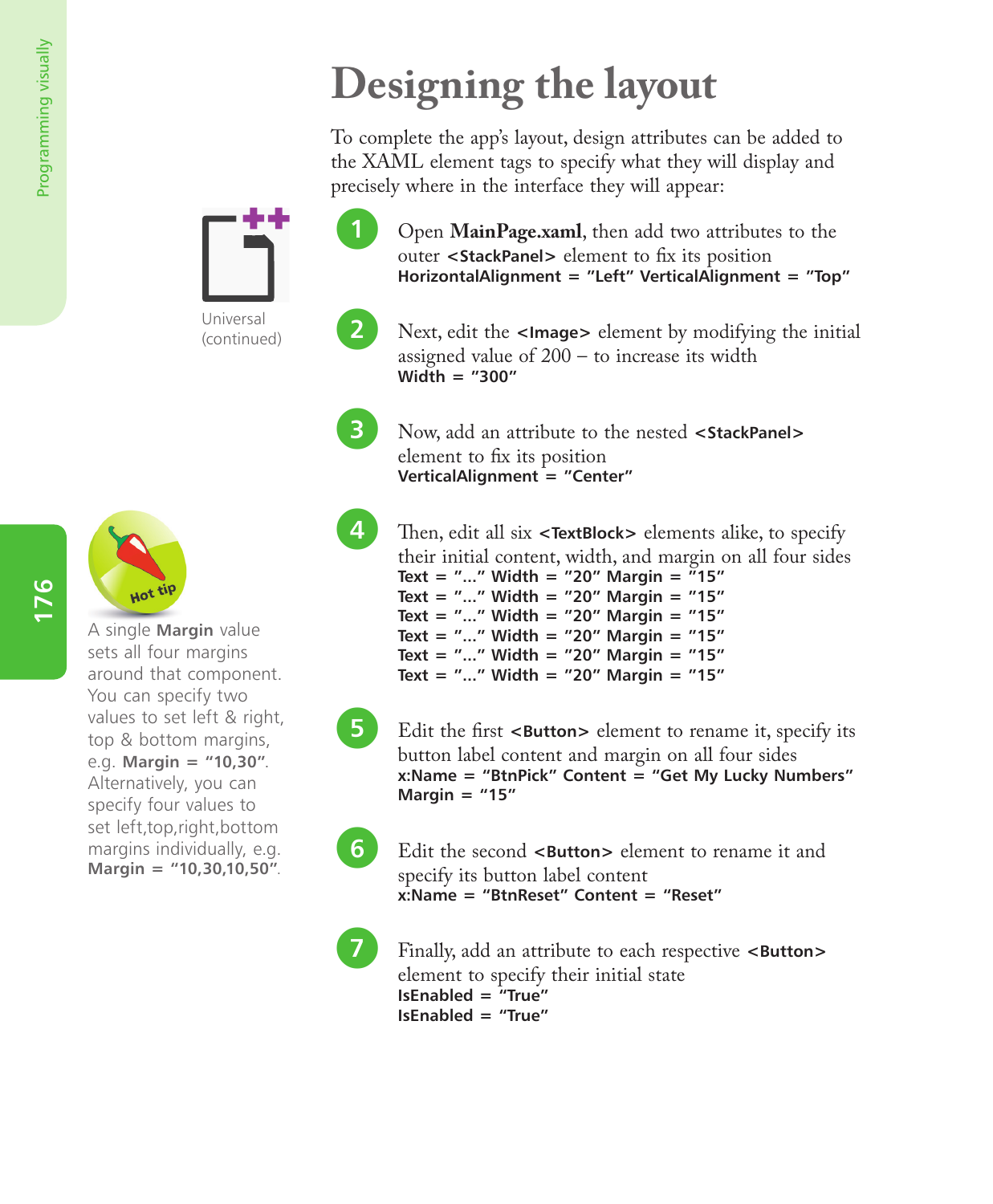## **Designing the layout**

To complete the app's layout, design attributes can be added to the XAML element tags to specify what they will display and precisely where in the interface they will appear:

l**<sup>1</sup>** Open **MainPage.xaml**, then add two attributes to the outer **<StackPanel>** element to fix its position **HorizontalAlignment = "Left" VerticalAlignment = "Top"**

l**<sup>2</sup>** Next, edit the **<Image>** element by modifying the initial assigned value of 200 – to increase its width **Width = "300"**

l**<sup>3</sup>** Now, add an attribute to the nested **<StackPanel>** element to fix its position **VerticalAlignment = "Center"**

**4** Then, edit all six **<TextBlock>** elements alike, to specify their initial content, width, and margin on all four sides **Text = "..." Width = "20" Margin = "15" Text = "..." Width = "20" Margin = "15" Text = "..." Width = "20" Margin = "15" Text = "..." Width = "20" Margin = "15"**

**Text = "..." Width = "20" Margin = "15" Text = "..." Width = "20" Margin = "15"**

**5** Edit the first **<Button>** element to rename it, specify its button label content and margin on all four sides **x:Name = "BtnPick" Content = "Get My Lucky Numbers" Margin = "15"**

**6** Edit the second **<Button>** element to rename it and specify its button label content **x:Name = "BtnReset" Content = "Reset"**

Finally, add an attribute to each respective **<Button>** element to specify their initial state **IsEnabled = "True" IsEnabled = "True"**

(continued)

Universal



A single **Margin** value sets all four margins around that component. You can specify two values to set left & right, top & bottom margins, e.g. **Margin = "10,30"**. Alternatively, you can specify four values to set left,top,right,bottom margins individually, e.g. **Margin = "10,30,10,50"**.